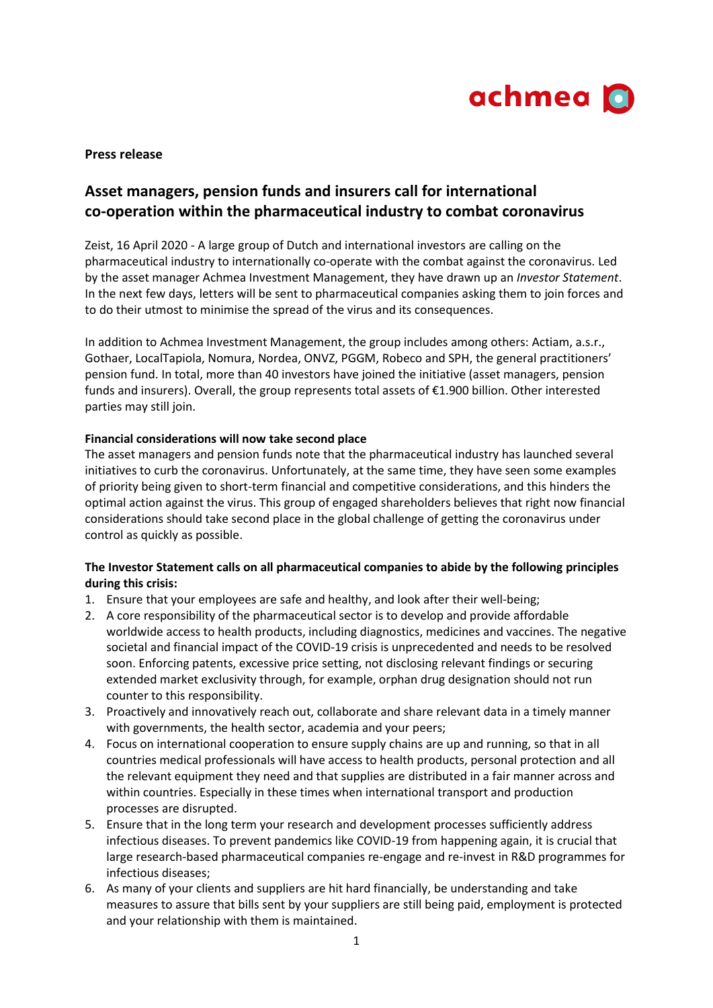

**Press release**

# **Asset managers, pension funds and insurers call for international co-operation within the pharmaceutical industry to combat coronavirus**

Zeist, 16 April 2020 - A large group of Dutch and international investors are calling on the pharmaceutical industry to internationally co-operate with the combat against the coronavirus. Led by the asset manager Achmea Investment Management, they have drawn up an *Investor Statement*. In the next few days, letters will be sent to pharmaceutical companies asking them to join forces and to do their utmost to minimise the spread of the virus and its consequences.

In addition to Achmea Investment Management, the group includes among others: Actiam, a.s.r., Gothaer, LocalTapiola, Nomura, Nordea, ONVZ, PGGM, Robeco and SPH, the general practitioners' pension fund. In total, more than 40 investors have joined the initiative (asset managers, pension funds and insurers). Overall, the group represents total assets of €1.900 billion. Other interested parties may still join.

## **Financial considerations will now take second place**

The asset managers and pension funds note that the pharmaceutical industry has launched several initiatives to curb the coronavirus. Unfortunately, at the same time, they have seen some examples of priority being given to short-term financial and competitive considerations, and this hinders the optimal action against the virus. This group of engaged shareholders believes that right now financial considerations should take second place in the global challenge of getting the coronavirus under control as quickly as possible.

## **The Investor Statement calls on all pharmaceutical companies to abide by the following principles during this crisis:**

- 1. Ensure that your employees are safe and healthy, and look after their well-being;
- 2. A core responsibility of the pharmaceutical sector is to develop and provide affordable worldwide access to health products, including diagnostics, medicines and vaccines. The negative societal and financial impact of the COVID-19 crisis is unprecedented and needs to be resolved soon. Enforcing patents, excessive price setting, not disclosing relevant findings or securing extended market exclusivity through, for example, orphan drug designation should not run counter to this responsibility.
- 3. Proactively and innovatively reach out, collaborate and share relevant data in a timely manner with governments, the health sector, academia and your peers;
- 4. Focus on international cooperation to ensure supply chains are up and running, so that in all countries medical professionals will have access to health products, personal protection and all the relevant equipment they need and that supplies are distributed in a fair manner across and within countries. Especially in these times when international transport and production processes are disrupted.
- 5. Ensure that in the long term your research and development processes sufficiently address infectious diseases. To prevent pandemics like COVID-19 from happening again, it is crucial that large research-based pharmaceutical companies re-engage and re-invest in R&D programmes for infectious diseases;
- 6. As many of your clients and suppliers are hit hard financially, be understanding and take measures to assure that bills sent by your suppliers are still being paid, employment is protected and your relationship with them is maintained.